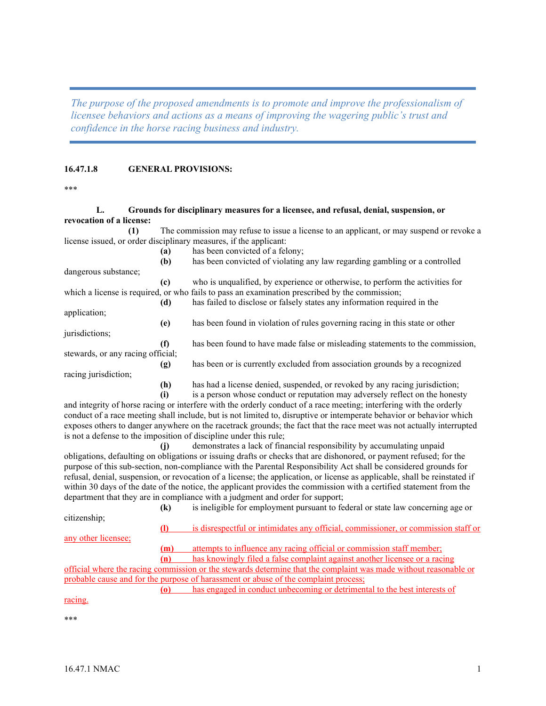*The purpose of the proposed amendments is to promote and improve the professionalism of licensee behaviors and actions as a means of improving the wagering public's trust and confidence in the horse racing business and industry.*

## **16.47.1.8 GENERAL PROVISIONS:**

\*\*\*

## **L. Grounds for disciplinary measures for a licensee, and refusal, denial, suspension, or revocation of a license:**

**(1)** The commission may refuse to issue a license to an applicant, or may suspend or revoke a license issued, or order disciplinary measures, if the applicant:

|                                   | (a)    | has been convicted of a felony;                                                                |
|-----------------------------------|--------|------------------------------------------------------------------------------------------------|
|                                   | (b)    | has been convicted of violating any law regarding gambling or a controlled                     |
| dangerous substance;              |        |                                                                                                |
|                                   | (c)    | who is unqualified, by experience or otherwise, to perform the activities for                  |
|                                   |        | which a license is required, or who fails to pass an examination prescribed by the commission; |
|                                   | (d)    | has failed to disclose or falsely states any information required in the                       |
| application;                      |        |                                                                                                |
|                                   | (e)    | has been found in violation of rules governing racing in this state or other                   |
| jurisdictions;                    |        |                                                                                                |
|                                   | (f)    | has been found to have made false or misleading statements to the commission,                  |
| stewards, or any racing official; |        |                                                                                                |
|                                   | (g)    | has been or is currently excluded from association grounds by a recognized                     |
| racing jurisdiction;              |        |                                                                                                |
|                                   | (h)    | has had a license denied, suspended, or revoked by any racing jurisdiction;                    |
|                                   | $\sim$ | is a nancen whose sandyet on negative may advancely reflect on the homesty                     |

**(i)** is a person whose conduct or reputation may adversely reflect on the honesty and integrity of horse racing or interfere with the orderly conduct of a race meeting; interfering with the orderly conduct of a race meeting shall include, but is not limited to, disruptive or intemperate behavior or behavior which exposes others to danger anywhere on the racetrack grounds; the fact that the race meet was not actually interrupted is not a defense to the imposition of discipline under this rule;

**(j)** demonstrates a lack of financial responsibility by accumulating unpaid obligations, defaulting on obligations or issuing drafts or checks that are dishonored, or payment refused; for the purpose of this sub-section, non-compliance with the Parental Responsibility Act shall be considered grounds for refusal, denial, suspension, or revocation of a license; the application, or license as applicable, shall be reinstated if within 30 days of the date of the notice, the applicant provides the commission with a certified statement from the department that they are in compliance with a judgment and order for support;

|                     | $\left( \mathbf{k}\right)$ | is ineligible for employment pursuant to federal or state law concerning age or                                  |
|---------------------|----------------------------|------------------------------------------------------------------------------------------------------------------|
| citizenship;        |                            |                                                                                                                  |
|                     |                            | is disrespectful or intimidates any official, commissioner, or commission staff or                               |
| any other licensee; |                            |                                                                                                                  |
|                     | (m)                        | attempts to influence any racing official or commission staff member;                                            |
|                     | (n)                        | has knowingly filed a false complaint against another licensee or a racing                                       |
|                     |                            | official where the racing commission or the stewards determine that the complaint was made without reasonable or |
|                     |                            | probable cause and for the purpose of harassment or abuse of the complaint process;                              |
|                     |                            | has engaged in conduct unbecoming or detrimental to the best interests of                                        |
| racing.             |                            |                                                                                                                  |
|                     |                            |                                                                                                                  |
| ***                 |                            |                                                                                                                  |
|                     |                            |                                                                                                                  |